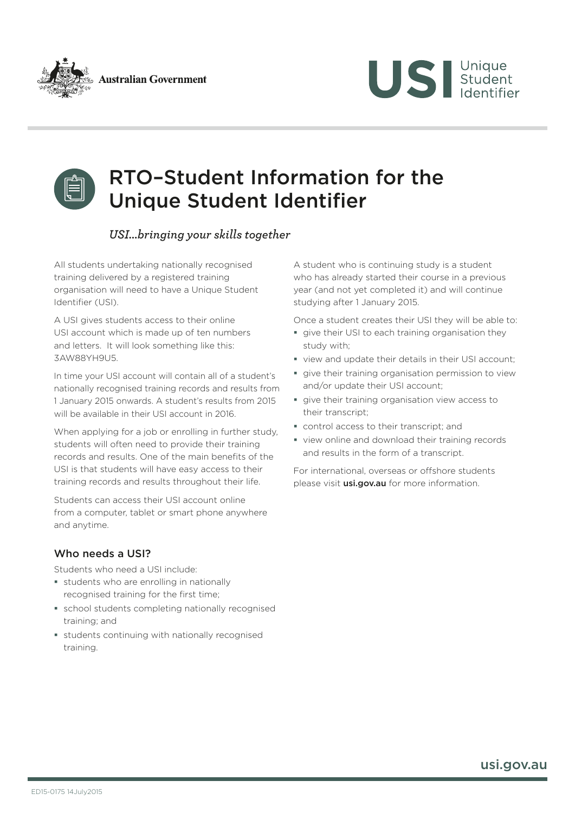





# RTO–Student Information for the Unique Student Identifier

## *USI...bringing your skills together*

All students undertaking nationally recognised training delivered by a registered training organisation will need to have a Unique Student Identifier (USI).

A USI gives students access to their online USI account which is made up of ten numbers and letters. It will look something like this: 3AW88YH9U5.

In time your USI account will contain all of a student's nationally recognised training records and results from 1 January 2015 onwards. A student's results from 2015 will be available in their USI account in 2016.

When applying for a job or enrolling in further study, students will often need to provide their training records and results. One of the main benefits of the USI is that students will have easy access to their training records and results throughout their life.

Students can access their USI account online from a computer, tablet or smart phone anywhere and anytime.

### Who needs a USI?

Students who need a USI include:

- **students who are enrolling in nationally** recognised training for the first time;
- school students completing nationally recognised training; and
- students continuing with nationally recognised training.

A student who is continuing study is a student who has already started their course in a previous year (and not yet completed it) and will continue studying after 1 January 2015.

Once a student creates their USI they will be able to:

- **give their USI to each training organisation they** study with;
- view and update their details in their USI account;
- **give their training organisation permission to view** and/or update their USI account;
- give their training organisation view access to their transcript;
- control access to their transcript; and
- view online and download their training records and results in the form of a transcript.

For international, overseas or offshore students please visit *[usi.gov.au](http://www.usi.gov.au)* for more information.